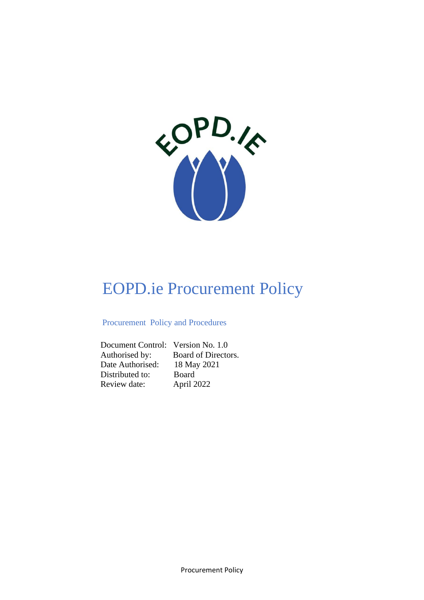

# EOPD.ie Procurement Policy

## Procurement Policy and Procedures

 Document Control: Version No. 1.0 Authorised by: Board of Directors. Date Authorised: 18 May 2021 Distributed to: Board Review date: April 2022